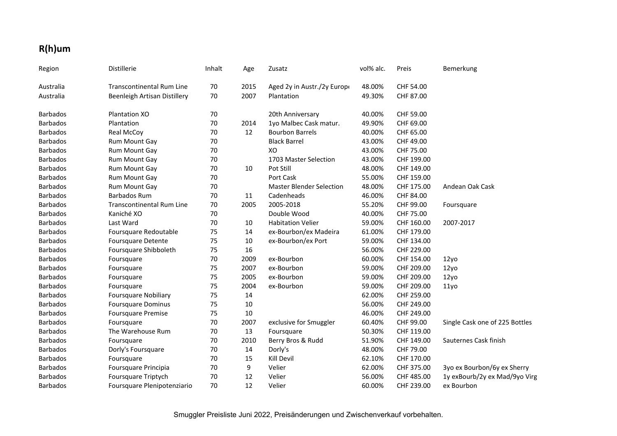## **R(h)um**

| Region          | Distillerie                      | Inhalt | Age  | Zusatz                          | vol% alc. | Preis      | Bemerkung                      |
|-----------------|----------------------------------|--------|------|---------------------------------|-----------|------------|--------------------------------|
| Australia       | <b>Transcontinental Rum Line</b> | 70     | 2015 | Aged 2y in Austr./2y Europe     | 48.00%    | CHF 54.00  |                                |
| Australia       | Beenleigh Artisan Distillery     | 70     | 2007 | Plantation                      | 49.30%    | CHF 87.00  |                                |
| <b>Barbados</b> | Plantation XO                    | 70     |      | 20th Anniversary                | 40.00%    | CHF 59.00  |                                |
| <b>Barbados</b> | Plantation                       | 70     | 2014 | 1yo Malbec Cask matur.          | 49.90%    | CHF 69.00  |                                |
| <b>Barbados</b> | <b>Real McCoy</b>                | 70     | 12   | <b>Bourbon Barrels</b>          | 40.00%    | CHF 65.00  |                                |
| <b>Barbados</b> | Rum Mount Gay                    | 70     |      | <b>Black Barrel</b>             | 43.00%    | CHF 49.00  |                                |
| <b>Barbados</b> | Rum Mount Gay                    | 70     |      | XO                              | 43.00%    | CHF 75.00  |                                |
| <b>Barbados</b> | Rum Mount Gay                    | 70     |      | 1703 Master Selection           | 43.00%    | CHF 199.00 |                                |
| <b>Barbados</b> | Rum Mount Gay                    | 70     | 10   | Pot Still                       | 48.00%    | CHF 149.00 |                                |
| <b>Barbados</b> | Rum Mount Gay                    | 70     |      | Port Cask                       | 55.00%    | CHF 159.00 |                                |
| <b>Barbados</b> | Rum Mount Gay                    | 70     |      | <b>Master Blender Selection</b> | 48.00%    | CHF 175.00 | Andean Oak Cask                |
| <b>Barbados</b> | <b>Barbados Rum</b>              | 70     | 11   | Cadenheads                      | 46.00%    | CHF 84.00  |                                |
| <b>Barbados</b> | <b>Transcontinental Rum Line</b> | 70     | 2005 | 2005-2018                       | 55.20%    | CHF 99.00  | Foursquare                     |
| <b>Barbados</b> | Kaniché XO                       | 70     |      | Double Wood                     | 40.00%    | CHF 75.00  |                                |
| <b>Barbados</b> | Last Ward                        | 70     | 10   | <b>Habitation Velier</b>        | 59.00%    | CHF 160.00 | 2007-2017                      |
| <b>Barbados</b> | Foursquare Redoutable            | 75     | 14   | ex-Bourbon/ex Madeira           | 61.00%    | CHF 179.00 |                                |
| <b>Barbados</b> | <b>Foursquare Detente</b>        | 75     | 10   | ex-Bourbon/ex Port              | 59.00%    | CHF 134.00 |                                |
| <b>Barbados</b> | Foursquare Shibboleth            | 75     | 16   |                                 | 56.00%    | CHF 229.00 |                                |
| <b>Barbados</b> | Foursquare                       | 70     | 2009 | ex-Bourbon                      | 60.00%    | CHF 154.00 | 12y <sub>0</sub>               |
| <b>Barbados</b> | Foursquare                       | 75     | 2007 | ex-Bourbon                      | 59.00%    | CHF 209.00 | 12yo                           |
| Barbados        | Foursquare                       | 75     | 2005 | ex-Bourbon                      | 59.00%    | CHF 209.00 | 12y <sub>0</sub>               |
| <b>Barbados</b> | Foursquare                       | 75     | 2004 | ex-Bourbon                      | 59.00%    | CHF 209.00 | 11 <sub>yo</sub>               |
| <b>Barbados</b> | <b>Foursquare Nobiliary</b>      | 75     | 14   |                                 | 62.00%    | CHF 259.00 |                                |
| <b>Barbados</b> | <b>Foursquare Dominus</b>        | 75     | 10   |                                 | 56.00%    | CHF 249.00 |                                |
| <b>Barbados</b> | <b>Foursquare Premise</b>        | 75     | 10   |                                 | 46.00%    | CHF 249.00 |                                |
| <b>Barbados</b> | Foursquare                       | 70     | 2007 | exclusive for Smuggler          | 60.40%    | CHF 99.00  | Single Cask one of 225 Bottles |
| <b>Barbados</b> | The Warehouse Rum                | 70     | 13   | Foursquare                      | 50.30%    | CHF 119.00 |                                |
| <b>Barbados</b> | Foursquare                       | 70     | 2010 | Berry Bros & Rudd               | 51.90%    | CHF 149.00 | Sauternes Cask finish          |
| <b>Barbados</b> | Dorly's Foursquare               | 70     | 14   | Dorly's                         | 48.00%    | CHF 79.00  |                                |
| <b>Barbados</b> | Foursquare                       | 70     | 15   | <b>Kill Devil</b>               | 62.10%    | CHF 170.00 |                                |
| <b>Barbados</b> | Foursquare Principia             | 70     | 9    | Velier                          | 62.00%    | CHF 375.00 | 3yo ex Bourbon/6y ex Sherry    |
| <b>Barbados</b> | Foursquare Triptych              | 70     | 12   | Velier                          | 56.00%    | CHF 485.00 | 1y exBourb/2y ex Mad/9yo Virg  |
| <b>Barbados</b> | Foursquare Plenipotenziario      | 70     | 12   | Velier                          | 60.00%    | CHF 239.00 | ex Bourbon                     |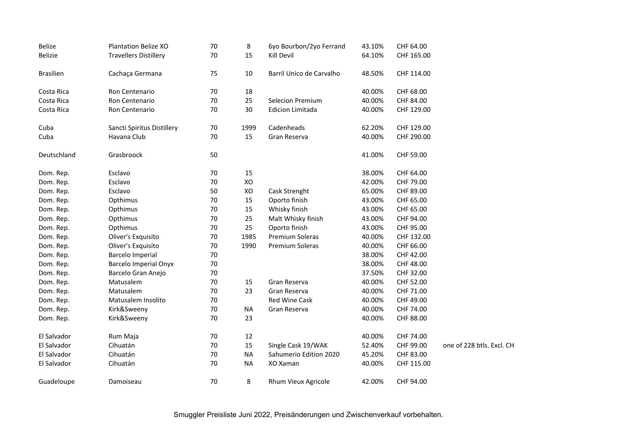| Belize           | <b>Plantation Belize XO</b>  | 70 | 8         | 6yo Bourbon/2yo Ferrand  | 43.10% | CHF 64.00  |                           |
|------------------|------------------------------|----|-----------|--------------------------|--------|------------|---------------------------|
| Belizie          | <b>Travellers Distillery</b> | 70 | 15        | Kill Devil               | 64.10% | CHF 165.00 |                           |
|                  |                              |    |           |                          |        |            |                           |
| <b>Brasilien</b> | Cachaça Germana              | 75 | 10        | Barril Unico de Carvalho | 48.50% | CHF 114.00 |                           |
| Costa Rica       | Ron Centenario               | 70 | 18        |                          | 40.00% | CHF 68.00  |                           |
| Costa Rica       | Ron Centenario               | 70 | 25        | <b>Selecion Premium</b>  | 40.00% | CHF 84.00  |                           |
| Costa Rica       | Ron Centenario               | 70 | 30        | <b>Edicion Limitada</b>  | 40.00% | CHF 129.00 |                           |
| Cuba             | Sancti Spiritus Distillery   | 70 | 1999      | Cadenheads               | 62.20% | CHF 129.00 |                           |
| Cuba             | Havana Club                  | 70 | 15        | Gran Reserva             | 40.00% | CHF 290.00 |                           |
| Deutschland      | Grasbroock                   | 50 |           |                          | 41.00% | CHF 59.00  |                           |
| Dom. Rep.        | Esclavo                      | 70 | 15        |                          | 38.00% | CHF 64.00  |                           |
| Dom. Rep.        | Esclavo                      | 70 | XO        |                          | 42.00% | CHF 79.00  |                           |
| Dom. Rep.        | Esclavo                      | 50 | XO        | Cask Strenght            | 65.00% | CHF 89.00  |                           |
| Dom. Rep.        | Opthimus                     | 70 | 15        | Oporto finish            | 43.00% | CHF 65.00  |                           |
| Dom. Rep.        | Opthimus                     | 70 | 15        | Whisky finish            | 43.00% | CHF 65.00  |                           |
| Dom. Rep.        | Opthimus                     | 70 | 25        | Malt Whisky finish       | 43.00% | CHF 94.00  |                           |
| Dom. Rep.        | Opthimus                     | 70 | 25        | Oporto finish            | 43.00% | CHF 95.00  |                           |
| Dom. Rep.        | Oliver's Exquisito           | 70 | 1985      | Premium Soleras          | 40.00% | CHF 132.00 |                           |
| Dom. Rep.        | Oliver's Exquisito           | 70 | 1990      | Premium Soleras          | 40.00% | CHF 66.00  |                           |
| Dom. Rep.        | <b>Barcelo Imperial</b>      | 70 |           |                          | 38.00% | CHF 42.00  |                           |
| Dom. Rep.        | <b>Barcelo Imperial Onyx</b> | 70 |           |                          | 38.00% | CHF 48.00  |                           |
| Dom. Rep.        | Barcelo Gran Anejo           | 70 |           |                          | 37.50% | CHF 32.00  |                           |
| Dom. Rep.        | Matusalem                    | 70 | 15        | Gran Reserva             | 40.00% | CHF 52.00  |                           |
| Dom. Rep.        | Matusalem                    | 70 | 23        | Gran Reserva             | 40.00% | CHF 71.00  |                           |
| Dom. Rep.        | Matusalem Insolito           | 70 |           | Red Wine Cask            | 40.00% | CHF 49.00  |                           |
| Dom. Rep.        | Kirk&Sweeny                  | 70 | <b>NA</b> | Gran Reserva             | 40.00% | CHF 74.00  |                           |
| Dom. Rep.        | Kirk&Sweeny                  | 70 | 23        |                          | 40.00% | CHF 88.00  |                           |
| El Salvador      | Rum Maja                     | 70 | 12        |                          | 40.00% | CHF 74.00  |                           |
| El Salvador      | Cihuatán                     | 70 | 15        | Single Cask 19/WAK       | 52.40% | CHF 99.00  | one of 228 btls. Excl. CH |
| El Salvador      | Cihuatán                     | 70 | <b>NA</b> | Sahumerio Edition 2020   | 45.20% | CHF 83.00  |                           |
| El Salvador      | Cihuatán                     | 70 | <b>NA</b> | XO Xaman                 | 40.00% | CHF 115.00 |                           |
| Guadeloupe       | Damoiseau                    | 70 | 8         | Rhum Vieux Agricole      | 42.00% | CHF 94.00  |                           |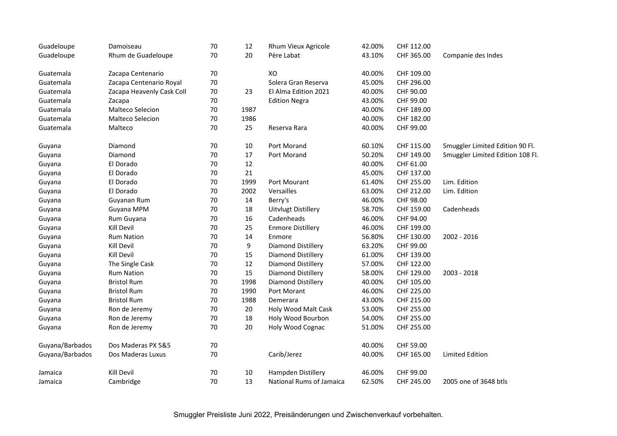| Guadeloupe      | Damoiseau                 | 70 | 12     | Rhum Vieux Agricole        | 42.00% | CHF 112.00 |                                  |
|-----------------|---------------------------|----|--------|----------------------------|--------|------------|----------------------------------|
| Guadeloupe      | Rhum de Guadeloupe        | 70 | 20     | Père Labat                 | 43.10% | CHF 365.00 | Companie des Indes               |
| Guatemala       | Zacapa Centenario         | 70 |        | XO                         | 40.00% | CHF 109.00 |                                  |
| Guatemala       | Zacapa Centenario Royal   | 70 |        | Solera Gran Reserva        | 45.00% | CHF 296.00 |                                  |
| Guatemala       | Zacapa Heavenly Cask Coll | 70 | 23     | El Alma Edition 2021       | 40.00% | CHF 90.00  |                                  |
| Guatemala       | Zacapa                    | 70 |        | <b>Edition Negra</b>       | 43.00% | CHF 99.00  |                                  |
| Guatemala       | Malteco Selecion          | 70 | 1987   |                            | 40.00% | CHF 189.00 |                                  |
| Guatemala       | Malteco Selecion          | 70 | 1986   |                            | 40.00% | CHF 182.00 |                                  |
| Guatemala       | Malteco                   | 70 | 25     | Reserva Rara               | 40.00% | CHF 99.00  |                                  |
| Guyana          | Diamond                   | 70 | $10\,$ | Port Morand                | 60.10% | CHF 115.00 | Smuggler Limited Edition 90 Fl.  |
| Guyana          | Diamond                   | 70 | 17     | Port Morand                | 50.20% | CHF 149.00 | Smuggler Limited Edition 108 Fl. |
| Guyana          | El Dorado                 | 70 | 12     |                            | 40.00% | CHF 61.00  |                                  |
| Guyana          | El Dorado                 | 70 | 21     |                            | 45.00% | CHF 137.00 |                                  |
| Guyana          | El Dorado                 | 70 | 1999   | Port Mourant               | 61.40% | CHF 255.00 | Lim. Edition                     |
| Guyana          | El Dorado                 | 70 | 2002   | Versailles                 | 63.00% | CHF 212.00 | Lim. Edition                     |
| Guyana          | Guyanan Rum               | 70 | 14     | Berry's                    | 46.00% | CHF 98.00  |                                  |
| Guyana          | Guyana MPM                | 70 | 18     | <b>Uitvlugt Distillery</b> | 58.70% | CHF 159.00 | Cadenheads                       |
| Guyana          | Rum Guyana                | 70 | 16     | Cadenheads                 | 46.00% | CHF 94.00  |                                  |
| Guyana          | Kill Devil                | 70 | 25     | <b>Enmore Distillery</b>   | 46.00% | CHF 199.00 |                                  |
| Guyana          | <b>Rum Nation</b>         | 70 | 14     | Enmore                     | 56.80% | CHF 130.00 | 2002 - 2016                      |
| Guyana          | Kill Devil                | 70 | 9      | Diamond Distillery         | 63.20% | CHF 99.00  |                                  |
| Guyana          | Kill Devil                | 70 | 15     | <b>Diamond Distillery</b>  | 61.00% | CHF 139.00 |                                  |
| Guyana          | The Single Cask           | 70 | 12     | <b>Diamond Distillery</b>  | 57.00% | CHF 122.00 |                                  |
| Guyana          | <b>Rum Nation</b>         | 70 | 15     | Diamond Distillery         | 58.00% | CHF 129.00 | 2003 - 2018                      |
| Guyana          | <b>Bristol Rum</b>        | 70 | 1998   | <b>Diamond Distillery</b>  | 40.00% | CHF 105.00 |                                  |
| Guyana          | <b>Bristol Rum</b>        | 70 | 1990   | Port Morant                | 46.00% | CHF 225.00 |                                  |
| Guyana          | <b>Bristol Rum</b>        | 70 | 1988   | Demerara                   | 43.00% | CHF 215.00 |                                  |
| Guyana          | Ron de Jeremy             | 70 | 20     | Holy Wood Malt Cask        | 53.00% | CHF 255.00 |                                  |
| Guyana          | Ron de Jeremy             | 70 | 18     | Holy Wood Bourbon          | 54.00% | CHF 255.00 |                                  |
| Guyana          | Ron de Jeremy             | 70 | 20     | Holy Wood Cognac           | 51.00% | CHF 255.00 |                                  |
| Guyana/Barbados | Dos Maderas PX 5&5        | 70 |        |                            | 40.00% | CHF 59.00  |                                  |
| Guyana/Barbados | Dos Maderas Luxus         | 70 |        | Carib/Jerez                | 40.00% | CHF 165.00 | <b>Limited Edition</b>           |
| Jamaica         | Kill Devil                | 70 | 10     | Hampden Distillery         | 46.00% | CHF 99.00  |                                  |
| Jamaica         | Cambridge                 | 70 | 13     | National Rums of Jamaica   | 62.50% | CHF 245.00 | 2005 one of 3648 btls            |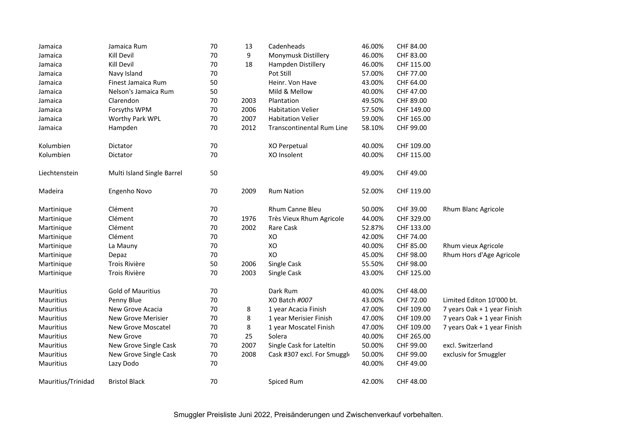| Jamaica            | Jamaica Rum                | 70 | 13   | Cadenheads                       | 46.00% | CHF 84.00  |                             |
|--------------------|----------------------------|----|------|----------------------------------|--------|------------|-----------------------------|
| Jamaica            | Kill Devil                 | 70 | 9    | Monymusk Distillery              | 46.00% | CHF 83.00  |                             |
| Jamaica            | Kill Devil                 | 70 | 18   | Hampden Distillery               | 46.00% | CHF 115.00 |                             |
| Jamaica            | Navy Island                | 70 |      | Pot Still                        | 57.00% | CHF 77.00  |                             |
| Jamaica            | Finest Jamaica Rum         | 50 |      | Heinr. Von Have                  | 43.00% | CHF 64.00  |                             |
| Jamaica            | Nelson's Jamaica Rum       | 50 |      | Mild & Mellow                    | 40.00% | CHF 47.00  |                             |
| Jamaica            | Clarendon                  | 70 | 2003 | Plantation                       | 49.50% | CHF 89.00  |                             |
| Jamaica            | Forsyths WPM               | 70 | 2006 | <b>Habitation Velier</b>         | 57.50% | CHF 149.00 |                             |
| Jamaica            | Worthy Park WPL            | 70 | 2007 | <b>Habitation Velier</b>         | 59.00% | CHF 165.00 |                             |
| Jamaica            | Hampden                    | 70 | 2012 | <b>Transcontinental Rum Line</b> | 58.10% | CHF 99.00  |                             |
| Kolumbien          | Dictator                   | 70 |      | XO Perpetual                     | 40.00% | CHF 109.00 |                             |
| Kolumbien          | Dictator                   | 70 |      | XO Insolent                      | 40.00% | CHF 115.00 |                             |
| Liechtenstein      | Multi Island Single Barrel | 50 |      |                                  | 49.00% | CHF 49.00  |                             |
| Madeira            | Engenho Novo               | 70 | 2009 | <b>Rum Nation</b>                | 52.00% | CHF 119.00 |                             |
| Martinique         | Clément                    | 70 |      | <b>Rhum Canne Bleu</b>           | 50.00% | CHF 39.00  | Rhum Blanc Agricole         |
| Martinique         | Clément                    | 70 | 1976 | Très Vieux Rhum Agricole         | 44.00% | CHF 329.00 |                             |
| Martinique         | Clément                    | 70 | 2002 | Rare Cask                        | 52.87% | CHF 133.00 |                             |
| Martinique         | Clément                    | 70 |      | XO                               | 42.00% | CHF 74.00  |                             |
| Martinique         | La Mauny                   | 70 |      | XO                               | 40.00% | CHF 85.00  | Rhum vieux Agricole         |
| Martinique         | Depaz                      | 70 |      | XO                               | 45.00% | CHF 98.00  | Rhum Hors d'Age Agricole    |
| Martinique         | Trois Rivière              | 50 | 2006 | Single Cask                      | 55.50% | CHF 98.00  |                             |
| Martinique         | Trois Rivière              | 70 | 2003 | Single Cask                      | 43.00% | CHF 125.00 |                             |
| Mauritius          | <b>Gold of Mauritius</b>   | 70 |      | Dark Rum                         | 40.00% | CHF 48.00  |                             |
| Mauritius          | Penny Blue                 | 70 |      | XO Batch #007                    | 43.00% | CHF 72.00  | Limited Editon 10'000 bt.   |
| Mauritius          | New Grove Acacia           | 70 | 8    | 1 year Acacia Finish             | 47.00% | CHF 109.00 | 7 years Oak + 1 year Finish |
| Mauritius          | New Grove Merisier         | 70 | 8    | 1 year Merisier Finish           | 47.00% | CHF 109.00 | 7 years Oak + 1 year Finish |
| Mauritius          | New Grove Moscatel         | 70 | 8    | 1 year Moscatel Finish           | 47.00% | CHF 109.00 | 7 years Oak + 1 year Finish |
| Mauritius          | New Grove                  | 70 | 25   | Solera                           | 40.00% | CHF 265.00 |                             |
| Mauritius          | New Grove Single Cask      | 70 | 2007 | Single Cask for Lateltin         | 50.00% | CHF 99.00  | excl. Switzerland           |
| Mauritius          | New Grove Single Cask      | 70 | 2008 | Cask #307 excl. For Smuggle      | 50.00% | CHF 99.00  | exclusiv for Smuggler       |
| Mauritius          | Lazy Dodo                  | 70 |      |                                  | 40.00% | CHF 49.00  |                             |
| Mauritius/Trinidad | <b>Bristol Black</b>       | 70 |      | Spiced Rum                       | 42.00% | CHF 48.00  |                             |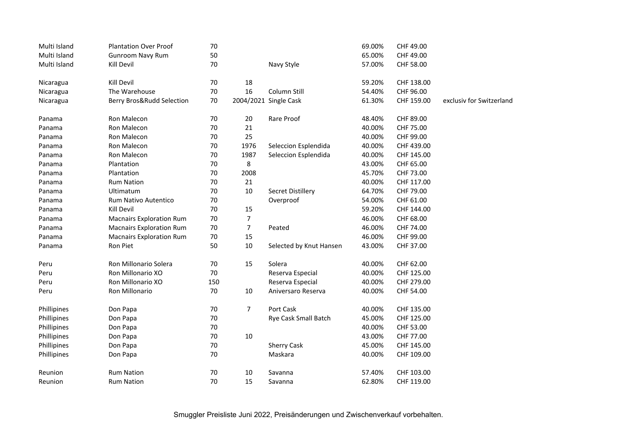| Multi Island | <b>Plantation Over Proof</b>    | 70  |                |                         | 69.00% | CHF 49.00  |                          |
|--------------|---------------------------------|-----|----------------|-------------------------|--------|------------|--------------------------|
| Multi Island | <b>Gunroom Navy Rum</b>         | 50  |                |                         | 65.00% | CHF 49.00  |                          |
| Multi Island | Kill Devil                      | 70  |                | Navy Style              | 57.00% | CHF 58.00  |                          |
| Nicaragua    | Kill Devil                      | 70  | 18             |                         | 59.20% | CHF 138.00 |                          |
| Nicaragua    | The Warehouse                   | 70  | 16             | Column Still            | 54.40% | CHF 96.00  |                          |
| Nicaragua    | Berry Bros&Rudd Selection       | 70  |                | 2004/2021 Single Cask   | 61.30% | CHF 159.00 | exclusiv for Switzerland |
| Panama       | Ron Malecon                     | 70  | 20             | Rare Proof              | 48.40% | CHF 89.00  |                          |
| Panama       | Ron Malecon                     | 70  | 21             |                         | 40.00% | CHF 75.00  |                          |
| Panama       | Ron Malecon                     | 70  | 25             |                         | 40.00% | CHF 99.00  |                          |
| Panama       | Ron Malecon                     | 70  | 1976           | Seleccion Esplendida    | 40.00% | CHF 439.00 |                          |
| Panama       | Ron Malecon                     | 70  | 1987           | Seleccion Esplendida    | 40.00% | CHF 145.00 |                          |
| Panama       | Plantation                      | 70  | 8              |                         | 43.00% | CHF 65.00  |                          |
| Panama       | Plantation                      | 70  | 2008           |                         | 45.70% | CHF 73.00  |                          |
| Panama       | <b>Rum Nation</b>               | 70  | 21             |                         | 40.00% | CHF 117.00 |                          |
| Panama       | Ultimatum                       | 70  | $10\,$         | Secret Distillery       | 64.70% | CHF 79.00  |                          |
| Panama       | Rum Nativo Autentico            | 70  |                | Overproof               | 54.00% | CHF 61.00  |                          |
| Panama       | Kill Devil                      | 70  | $15\,$         |                         | 59.20% | CHF 144.00 |                          |
| Panama       | <b>Macnairs Exploration Rum</b> | 70  | $\overline{7}$ |                         | 46.00% | CHF 68.00  |                          |
| Panama       | <b>Macnairs Exploration Rum</b> | 70  | $\overline{7}$ | Peated                  | 46.00% | CHF 74.00  |                          |
| Panama       | <b>Macnairs Exploration Rum</b> | 70  | 15             |                         | 46.00% | CHF 99.00  |                          |
| Panama       | Ron Piet                        | 50  | 10             | Selected by Knut Hansen | 43.00% | CHF 37.00  |                          |
| Peru         | Ron Millonario Solera           | 70  | 15             | Solera                  | 40.00% | CHF 62.00  |                          |
| Peru         | Ron Millonario XO               | 70  |                | Reserva Especial        | 40.00% | CHF 125.00 |                          |
| Peru         | Ron Millonario XO               | 150 |                | Reserva Especial        | 40.00% | CHF 279.00 |                          |
| Peru         | Ron Millonario                  | 70  | 10             | Aniversaro Reserva      | 40.00% | CHF 54.00  |                          |
| Phillipines  | Don Papa                        | 70  | $\overline{7}$ | Port Cask               | 40.00% | CHF 135.00 |                          |
| Phillipines  | Don Papa                        | 70  |                | Rye Cask Small Batch    | 45.00% | CHF 125.00 |                          |
| Phillipines  | Don Papa                        | 70  |                |                         | 40.00% | CHF 53.00  |                          |
| Phillipines  | Don Papa                        | 70  | 10             |                         | 43.00% | CHF 77.00  |                          |
| Phillipines  | Don Papa                        | 70  |                | <b>Sherry Cask</b>      | 45.00% | CHF 145.00 |                          |
| Phillipines  | Don Papa                        | 70  |                | Maskara                 | 40.00% | CHF 109.00 |                          |
| Reunion      | <b>Rum Nation</b>               | 70  | 10             | Savanna                 | 57.40% | CHF 103.00 |                          |
| Reunion      | <b>Rum Nation</b>               | 70  | 15             | Savanna                 | 62.80% | CHF 119.00 |                          |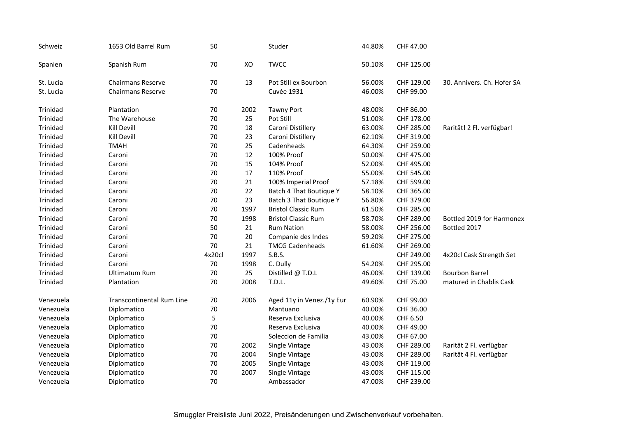| Schweiz   | 1653 Old Barrel Rum              | 50     |      | Studer                     | 44.80% | CHF 47.00  |                            |
|-----------|----------------------------------|--------|------|----------------------------|--------|------------|----------------------------|
| Spanien   | Spanish Rum                      | 70     | XO   | <b>TWCC</b>                | 50.10% | CHF 125.00 |                            |
| St. Lucia | <b>Chairmans Reserve</b>         | 70     | 13   | Pot Still ex Bourbon       | 56.00% | CHF 129.00 | 30. Annivers. Ch. Hofer SA |
| St. Lucia | <b>Chairmans Reserve</b>         | 70     |      | <b>Cuvée 1931</b>          | 46.00% | CHF 99.00  |                            |
| Trinidad  | Plantation                       | 70     | 2002 | <b>Tawny Port</b>          | 48.00% | CHF 86.00  |                            |
| Trinidad  | The Warehouse                    | 70     | 25   | Pot Still                  | 51.00% | CHF 178.00 |                            |
| Trinidad  | Kill Devill                      | 70     | 18   | Caroni Distillery          | 63.00% | CHF 285.00 | Rarität! 2 Fl. verfügbar!  |
| Trinidad  | Kill Devill                      | 70     | 23   | Caroni Distillery          | 62.10% | CHF 319.00 |                            |
| Trinidad  | <b>TMAH</b>                      | 70     | 25   | Cadenheads                 | 64.30% | CHF 259.00 |                            |
| Trinidad  | Caroni                           | 70     | 12   | 100% Proof                 | 50.00% | CHF 475.00 |                            |
| Trinidad  | Caroni                           | 70     | 15   | 104% Proof                 | 52.00% | CHF 495.00 |                            |
| Trinidad  | Caroni                           | 70     | 17   | 110% Proof                 | 55.00% | CHF 545.00 |                            |
| Trinidad  | Caroni                           | 70     | 21   | 100% Imperial Proof        | 57.18% | CHF 599.00 |                            |
| Trinidad  | Caroni                           | 70     | 22   | Batch 4 That Boutique Y    | 58.10% | CHF 365.00 |                            |
| Trinidad  | Caroni                           | 70     | 23   | Batch 3 That Boutique Y    | 56.80% | CHF 379.00 |                            |
| Trinidad  | Caroni                           | 70     | 1997 | <b>Bristol Classic Rum</b> | 61.50% | CHF 285.00 |                            |
| Trinidad  | Caroni                           | 70     | 1998 | <b>Bristol Classic Rum</b> | 58.70% | CHF 289.00 | Bottled 2019 for Harmonex  |
| Trinidad  | Caroni                           | 50     | 21   | <b>Rum Nation</b>          | 58.00% | CHF 256.00 | Bottled 2017               |
| Trinidad  | Caroni                           | 70     | 20   | Companie des Indes         | 59.20% | CHF 275.00 |                            |
| Trinidad  | Caroni                           | 70     | 21   | <b>TMCG Cadenheads</b>     | 61.60% | CHF 269.00 |                            |
| Trinidad  | Caroni                           | 4x20cl | 1997 | S.B.S.                     |        | CHF 249.00 | 4x20cl Cask Strength Set   |
| Trinidad  | Caroni                           | 70     | 1998 | C. Dully                   | 54.20% | CHF 295.00 |                            |
| Trinidad  | Ultimatum Rum                    | 70     | 25   | Distilled @ T.D.L          | 46.00% | CHF 139.00 | <b>Bourbon Barrel</b>      |
| Trinidad  | Plantation                       | 70     | 2008 | T.D.L.                     | 49.60% | CHF 75.00  | matured in Chablis Cask    |
| Venezuela | <b>Transcontinental Rum Line</b> | 70     | 2006 | Aged 11y in Venez./1y Eur  | 60.90% | CHF 99.00  |                            |
| Venezuela | Diplomatico                      | 70     |      | Mantuano                   | 40.00% | CHF 36.00  |                            |
| Venezuela | Diplomatico                      | 5      |      | Reserva Exclusiva          | 40.00% | CHF 6.50   |                            |
| Venezuela | Diplomatico                      | 70     |      | Reserva Exclusiva          | 40.00% | CHF 49.00  |                            |
| Venezuela | Diplomatico                      | 70     |      | Soleccion de Familia       | 43.00% | CHF 67.00  |                            |
| Venezuela | Diplomatico                      | 70     | 2002 | Single Vintage             | 43.00% | CHF 289.00 | Rarität 2 Fl. verfügbar    |
| Venezuela | Diplomatico                      | 70     | 2004 | Single Vintage             | 43.00% | CHF 289.00 | Rarität 4 Fl. verfügbar    |
| Venezuela | Diplomatico                      | 70     | 2005 | Single Vintage             | 43.00% | CHF 119.00 |                            |
| Venezuela | Diplomatico                      | 70     | 2007 | Single Vintage             | 43.00% | CHF 115.00 |                            |
| Venezuela | Diplomatico                      | 70     |      | Ambassador                 | 47.00% | CHF 239.00 |                            |
|           |                                  |        |      |                            |        |            |                            |